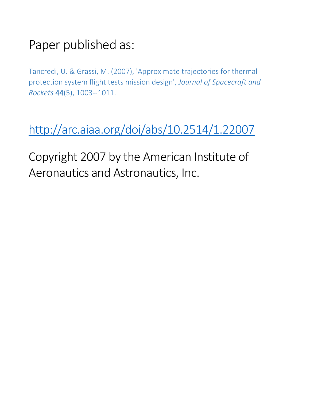# Paper published as:

Tancredi, U. & Grassi, M. (2007), 'Approximate trajectories for thermal protection system flight tests mission design', *Journal of Spacecraft and Rockets* 44(5), 1003--1011.

<http://arc.aiaa.org/doi/abs/10.2514/1.22007>

Copyright 2007 by the American Institute of Aeronautics and Astronautics, Inc.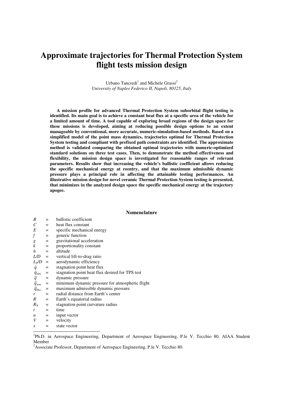# **Approximate trajectories for Thermal Protection System flight tests mission design**

Urbano Tancredi<sup>1</sup> and Michele Grassi<sup>2</sup> *University of Naples Federico II, Napoli, 80125, Italy* 

**A mission profile for advanced Thermal Protection System suborbital flight testing is identified. Its main goal is to achieve a constant heat flux at a specific area of the vehicle for a limited amount of time. A tool capable of exploring broad regions of the design space for these missions is developed, aiming at reducing possible design options to an extent manageable by conventional, more accurate, numeric-simulation-based methods. Based on a simplified model of the point mass dynamics, trajectories optimal for Thermal Protection System testing and compliant with prefixed path constraints are identified. The approximate method is validated comparing the obtained optimal trajectories with numeric-optimized standard solutions on three test cases. Then, to demonstrate the method effectiveness and flexibility, the mission design space is investigated for reasonable ranges of relevant parameters. Results show that increasing the vehicle's ballistic coefficient allows reducing the specific mechanical energy at reentry, and that the maximum admissible dynamic pressure plays a principal role in affecting the attainable testing performances. An illustrative mission design for novel ceramic Thermal Protection System testing is presented, that minimizes in the analyzed design space the specific mechanical energy at the trajectory apogee.** 

#### **Nomenclature**

| $=$                                        | ballistic coefficient                                                                 |
|--------------------------------------------|---------------------------------------------------------------------------------------|
| $=$ $-$                                    | heat flux constant                                                                    |
| $\mathbf{r} = \mathbf{r}$                  | specific mechanical energy                                                            |
| $\alpha_{\rm c} = 0.05$                    | generic function                                                                      |
| $\alpha_{\rm c} = 0.05$                    | gravitational acceleration                                                            |
| $\alpha_{\rm c} = 0.01$                    | proportionality constant                                                              |
| $=$ $-$                                    | altitude                                                                              |
|                                            | $L/D$ = vertical lift-to-drag ratio                                                   |
| $L_T/D =$                                  | aerodynamic efficiency                                                                |
| $=$                                        | stagnation point heat flux                                                            |
|                                            | stagnation point heat flux desired for TPS test                                       |
|                                            | dynamic pressure                                                                      |
|                                            | minimum dynamic pressure for atmospheric flight                                       |
| $\overline{q}_{\scriptscriptstyle{Max}}$ = | maximum admissible dynamic pressure                                                   |
| $=$ $-$                                    | radial distance from Earth's center                                                   |
| $=$                                        | Earth's equatorial radius                                                             |
| $\sim$ $=$                                 | stagnation point curvature radius                                                     |
| $\mathbf{r} = \mathbf{r}$                  | time                                                                                  |
| $\mathcal{L} = \mathcal{L}$                | input vector                                                                          |
|                                            | $=$ velocity                                                                          |
| $=$ $-$                                    | state vector                                                                          |
|                                            | $\frac{\dot{q}_{TPS}}{\overline{q}} =$<br>$\frac{\overline{q}}{\overline{q}_{Atm}} =$ |

-

<sup>1</sup>Ph.D. in Aerospace Engineering, Department of Aerospace Engineering, P.le V. Tecchio 80, AIAA Student Member

<sup>2</sup>Associate Professor, Department of Aerospace Engineering, P.le V. Tecchio 80.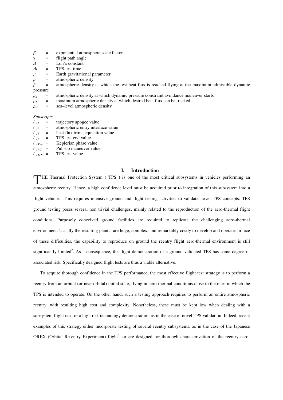| $\beta$       | $=$ | exponential atmosphere scale factor                                                                 |
|---------------|-----|-----------------------------------------------------------------------------------------------------|
| $\gamma$      | $=$ | flight path angle                                                                                   |
| $\Delta$      | $=$ | Loh's constant                                                                                      |
| $\varDelta t$ | $=$ | TPS test time                                                                                       |
| $\mu$         | $=$ | Earth gravitational parameter                                                                       |
| $\rho$        | $=$ | atmospheric density                                                                                 |
| õ             | $=$ | atmospheric density at which the test heat flux is reached flying at the maximum admissible dynamic |
| pressure      |     |                                                                                                     |
| $\rho_q$      | $=$ | atmospheric density at which dynamic pressure constraint avoidance maneuver starts                  |
| $\rho_T$      | $=$ | maximum atmospheric density at which desired heat flux can be tracked                               |
| $\rho_{sl}$   | $=$ | sea-level atmospheric density                                                                       |
|               |     |                                                                                                     |

#### *Subscripts*

|     | trajectory apogee value           |
|-----|-----------------------------------|
| $=$ | atmospheric entry interface value |
| $=$ | heat flux trim acquisition value  |
| $=$ | TPS test end value                |
| $=$ | Keplerian phase value             |
| $=$ | Pull-up maneuver value            |
| $=$ | TPS test value                    |
|     |                                   |

#### **I. Introduction**

THE Thermal Protection System (TPS) is one of the most critical subsystems in vehicles performing an experience of this performance of this performance of this performance of this performance of this performance of this pe atmospheric reentry. Hence, a high confidence level must be acquired prior to integration of this subsystem into a flight vehicle. This requires intensive ground and flight testing activities to validate novel TPS concepts. TPS ground testing poses several non trivial challenges, mainly related to the reproduction of the aero-thermal flight conditions. Purposely conceived ground facilities are required to replicate the challenging aero-thermal environment. Usually the resulting plants<sup>1</sup> are huge, complex, and remarkably costly to develop and operate. In face of these difficulties, the capability to reproduce on ground the reentry flight aero-thermal environment is still significantly limited<sup>2</sup>. As a consequence, the flight demonstration of a ground validated TPS has some degree of associated risk. Specifically designed flight tests are thus a viable alternative.

To acquire thorough confidence in the TPS performance, the most effective flight test strategy is to perform a reentry from an orbital (or near orbital) initial state, flying in aero-thermal conditions close to the ones in which the TPS is intended to operate. On the other hand, such a testing approach requires to perform an entire atmospheric reentry, with resulting high cost and complexity. Nonetheless, these must be kept low when dealing with a subsystem flight test, or a high risk technology demonstration, as in the case of novel TPS validation. Indeed, recent examples of this strategy either incorporate testing of several reentry subsystems, as in the case of the Japanese OREX (Orbital Re-entry Experiment) flight<sup>3</sup>, or are designed for thorough characterization of the reentry aero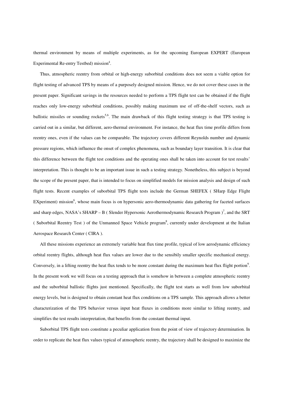thermal environment by means of multiple experiments, as for the upcoming European EXPERT (European Experimental Re-entry Testbed) mission<sup>4</sup>.

Thus, atmospheric reentry from orbital or high-energy suborbital conditions does not seem a viable option for flight testing of advanced TPS by means of a purposely designed mission. Hence, we do not cover these cases in the present paper. Significant savings in the resources needed to perform a TPS flight test can be obtained if the flight reaches only low-energy suborbital conditions, possibly making maximum use of off-the-shelf vectors, such as ballistic missiles or sounding rockets<sup>5,6</sup>. The main drawback of this flight testing strategy is that TPS testing is carried out in a similar, but different, aero-thermal environment. For instance, the heat flux time profile differs from reentry ones, even if the values can be comparable. The trajectory covers different Reynolds number and dynamic pressure regions, which influence the onset of complex phenomena, such as boundary layer transition. It is clear that this difference between the flight test conditions and the operating ones shall be taken into account for test results' interpretation. This is thought to be an important issue in such a testing strategy. Nonetheless, this subject is beyond the scope of the present paper, that is intended to focus on simplified models for mission analysis and design of such flight tests. Recent examples of suborbital TPS flight tests include the German SHEFEX ( SHarp Edge Flight EXperiment) mission<sup>6</sup>, whose main focus is on hypersonic aero-thermodynamic data gathering for faceted surfaces and sharp edges, NASA's SHARP – B (Slender Hypersonic Aerothermodynamic Research Program)<sup>7</sup>, and the SRT (Suborbital Reentry Test) of the Unmanned Space Vehicle program<sup>8</sup>, currently under development at the Italian Aerospace Research Center ( CIRA ).

All these missions experience an extremely variable heat flux time profile, typical of low aerodynamic efficiency orbital reentry flights, although heat flux values are lower due to the sensibily smaller specific mechanical energy. Conversely, in a lifting reentry the heat flux tends to be more constant during the maximum heat flux flight portion<sup>9</sup>. In the present work we will focus on a testing approach that is somehow in between a complete atmospheric reentry and the suborbital ballistic flights just mentioned. Specifically, the flight test starts as well from low suborbital energy levels, but is designed to obtain constant heat flux conditions on a TPS sample. This approach allows a better characterization of the TPS behavior versus input heat fluxes in conditions more similar to lifting reentry, and simplifies the test results interpretation, that benefits from the constant thermal input.

Suborbital TPS flight tests constitute a peculiar application from the point of view of trajectory determination. In order to replicate the heat flux values typical of atmospheric reentry, the trajectory shall be designed to maximize the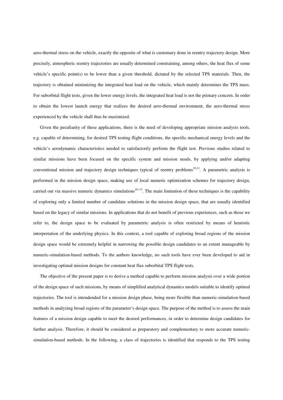aero-thermal stress on the vehicle, exactly the opposite of what is customary done in reentry trajectory design. More precisely, atmospheric reentry trajectories are usually determined constraining, among others, the heat flux of some vehicle's specific point(s) to be lower than a given threshold, dictated by the selected TPS materials. Then, the trajectory is obtained minimizing the integrated heat load on the vehicle, which mainly determines the TPS mass. For suborbital flight tests, given the lower energy levels, the integrated heat load is not the primary concern. In order to obtain the lowest launch energy that realizes the desired aero-thermal environment, the aero-thermal stress experienced by the vehicle shall thus be maximized.

Given the peculiarity of these applications, there is the need of developing appropriate mission analysis tools, e.g. capable of determining, for desired TPS testing flight conditions, the specific mechanical energy levels and the vehicle's aerodynamic characteristics needed to satisfactorily perform the flight test. Previous studies related to similar missions have been focused on the specific system and mission needs, by applying and/or adapting conventional mission and trajectory design techniques typical of reentry problems<sup>10,11</sup>. A parametric analysis is performed in the mission design space, making use of local numeric optimization schemes for trajectory design, carried out via massive numeric dynamics simulations $10-13$ . The main limitation of these techniques is the capability of exploring only a limited number of candidate solutions in the mission design space, that are usually identified based on the legacy of similar missions. In applications that do not benefit of previous experiences, such as those we refer to, the design space to be evaluated by parametric analysis is often restricted by means of heuristic interpretation of the underlying physics. In this context, a tool capable of exploring broad regions of the mission design space would be extremely helpful in narrowing the possible design candidates to an extent manageable by numeric-simulation-based methods. To the authors knowledge, no such tools have ever been developed to aid in investigating optimal mission designs for constant heat flux suborbital TPS flight tests.

The objective of the present paper is to derive a method capable to perform mission analysis over a wide portion of the design space of such missions, by means of simplified analytical dynamics models suitable to identify optimal trajectories. The tool is intendended for a mission design phase, being more flexible than numeric-simulation-based methods in analyzing broad regions of the parameter's design space. The purpose of the method is to assess the main features of a mission design capable to meet the desired performances, in order to determine design candidates for further analysis. Therefore, it should be considered as preparatory and complementary to more accurate numericsimulation-based methods. In the following, a class of trajectories is identified that responds to the TPS testing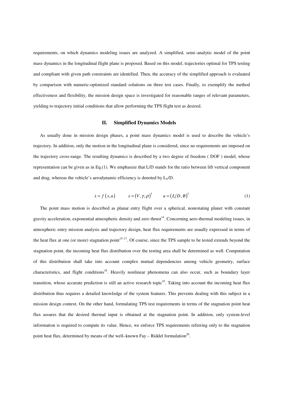requirements, on which dynamics modeling issues are analyzed. A simplified, semi–analytic model of the point mass dynamics in the longitudinal flight plane is proposed. Based on this model, trajectories optimal for TPS testing and compliant with given path constraints are identified. Then, the accuracy of the simplified approach is evaluated by comparison with numeric-optimized standard solutions on three test cases. Finally, to exemplify the method effectiveness and flexibility, the mission design space is investigated for reasonable ranges of relevant parameters, yielding to trajectory initial conditions that allow performing the TPS flight test as desired.

#### **II. Simplified Dynamics Models**

As usually done in mission design phases, a point mass dynamics model is used to describe the vehicle's trajectory. In addition, only the motion in the longitudinal plane is considered, since no requirements are imposed on the trajectory cross-range. The resulting dynamics is described by a two degree of freedom ( DOF ) model, whose representation can be given as in Eq.(1). We emphasize that L/D stands for the ratio between lift vertical component and drag, whereas the vehicle's aerodynamic efficiency is denoted by  $L_T/D$ .

$$
\dot{x} = f(x, u) \qquad x = (V, \gamma, \rho)^{T} \qquad u = (L/D, B)^{T} \qquad (1)
$$

The point mass motion is described as planar entry flight over a spherical, nonrotating planet with constant gravity acceleration, exponential atmospheric density and zero thrust<sup>14</sup>. Concerning aero-thermal modeling issues, in atmospheric entry mission analysis and trajectory design, heat flux requirements are usually expressed in terms of the heat flux at one (or more) stagnation point<sup>15–17</sup>. Of course, since the TPS sample to be tested extends beyond the stagnation point, the incoming heat flux distribution over the testing area shall be determined as well. Computation of this distribution shall take into account complex mutual dependencies among vehicle geometry, surface characteristics, and flight conditions<sup>18</sup>. Heavily nonlinear phenomena can also occur, such as boundary layer transition, whose accurate prediction is still an active research topic<sup>19</sup>. Taking into account the incoming heat flux distribution thus requires a detailed knowledge of the system features. This prevents dealing with this subject in a mission design context. On the other hand, formulating TPS test requirements in terms of the stagnation point heat flux assures that the desired thermal input is obtained at the stagnation point. In addition, only system-level information is required to compute its value. Hence, we enforce TPS requirements referring only to the stagnation point heat flux, determined by means of the well-known Fay – Riddel formulation<sup>20</sup>.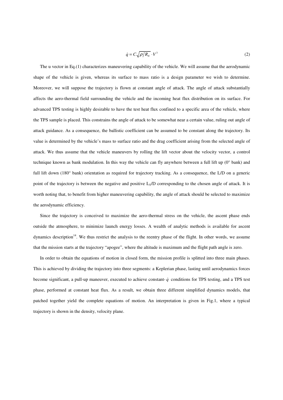$$
\dot{q} = C \sqrt{\rho/R_N} \cdot V^3 \tag{2}
$$

The u vector in Eq.(1) characterizes maneuvering capability of the vehicle. We will assume that the aerodynamic shape of the vehicle is given, whereas its surface to mass ratio is a design parameter we wish to determine. Moreover, we will suppose the trajectory is flown at constant angle of attack. The angle of attack substantially affects the aero-thermal field surrounding the vehicle and the incoming heat flux distribution on its surface. For advanced TPS testing is highly desirable to have the test heat flux confined to a specific area of the vehicle, where the TPS sample is placed. This constrains the angle of attack to be somewhat near a certain value, ruling out angle of attack guidance. As a consequence, the ballistic coefficient can be assumed to be constant along the trajectory. Its value is determined by the vehicle's mass to surface ratio and the drag coefficient arising from the selected angle of attack. We thus assume that the vehicle maneuvers by rolling the lift vector about the velocity vector, a control technique known as bank modulation. In this way the vehicle can fly anywhere between a full lift up (0° bank) and full lift down (180° bank) orientation as required for trajectory tracking. As a consequence, the L/D on a generic point of the trajectory is between the negative and positive  $L_T/D$  corresponding to the chosen angle of attack. It is worth noting that, to benefit from higher maneuvering capability, the angle of attack should be selected to maximize the aerodynamic efficiency.

Since the trajectory is conceived to maximize the aero-thermal stress on the vehicle, the ascent phase ends outside the atmosphere, to minimize launch energy losses. A wealth of analytic methods is available for ascent dynamics description<sup>14</sup>. We thus restrict the analysis to the reentry phase of the flight. In other words, we assume that the mission starts at the trajectory "apogee", where the altitude is maximum and the flight path angle is zero.

In order to obtain the equations of motion in closed form, the mission profile is splitted into three main phases. This is achieved by dividing the trajectory into three segments: a Keplerian phase, lasting until aerodynamics forces become significant, a pull-up maneuver, executed to achieve constant- $\dot{q}$  conditions for TPS testing, and a TPS test phase, performed at constant heat flux. As a result, we obtain three different simplified dynamics models, that patched together yield the complete equations of motion. An interpretation is given in Fig.1, where a typical trajectory is shown in the density, velocity plane.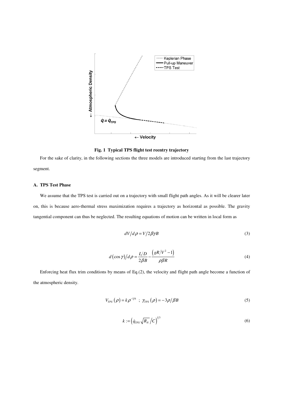

**Fig. 1 Typical TPS flight test reentry trajectory** 

For the sake of clarity, in the following sections the three models are introduced starting from the last trajectory segment.

# **A. TPS Test Phase**

We assume that the TPS test is carried out on a trajectory with small flight path angles. As it will be clearer later on, this is because aero-thermal stress maximization requires a trajectory as horizontal as possible. The gravity tangential component can thus be neglected. The resulting equations of motion can be written in local form as

$$
dV/d\rho = V/2\beta\gamma B\tag{3}
$$

$$
d\left(\cos\gamma\right)/d\rho = \frac{L/D}{2\beta B} - \frac{\left(gR/V^2 - 1\right)}{\rho\beta R} \tag{4}
$$

Enforcing heat flux trim conditions by means of Eq.(2), the velocity and flight path angle become a function of the atmospheric density.

$$
V_{TPS}(\rho) = k\rho^{-1/6} \; ; \; \gamma_{TPS}(\rho) = -3\rho/\beta B \tag{5}
$$

$$
k := \left(\dot{q}_{TPS}\sqrt{R_N}/C\right)^{1/3} \tag{6}
$$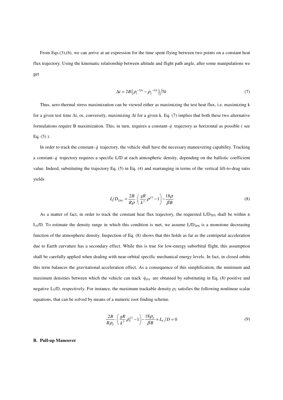From Eqs.(3),(6), we can arrive at an expression for the time spent flying between two points on a constant heat flux trajectory. Using the kinematic relationship between altitude and flight path angle, after some manipulations we get

$$
\Delta t = 2B \left( \rho_1^{-5/6} - \rho_2^{-5/6} \right) / 5k \tag{7}
$$

Thus, aero-thermal stress maximization can be viewed either as maximizing the test heat flux, i.e. maximizing k for a given test time ∆t, or, conversely, maximizing ∆t for a given k. Eq. (7) implies that both these two alternative formulations require B maximization. This, in turn, requires a constant- $q$  trajectory as horizontal as possible ( see Eq.  $(5)$ ).

In order to track the constant- $\dot{q}$  trajectory, the vehicle shall have the necessary maneuvering capability. Tracking a constant- $\dot{q}$  trajectory requires a specific L/D at each atmospheric density, depending on the ballistic coefficient value. Indeed, substituting the trajectory Eq. (5) in Eq. (4) and rearranging in terms of the vertical lift-to-drag ratio yields

$$
L/D_{TPS} = \frac{2B}{R\rho} \cdot \left(\frac{gR}{k^2}\rho^{1/3} - 1\right) - \frac{18\rho}{\beta B} \tag{8}
$$

As a matter of fact, in order to track the constant heat flux trajectory, the requested L/D<sub>TPS</sub> shall be within  $\pm$  $L_T/D$ . To estimate the density range in which this condition is met, we assume  $L/D_{TPS}$  is a monotone decreasing function of the atmospheric density. Inspection of Eq. (8) shows that this holds as far as the centripetal acceleration due to Earth curvature has a secondary effect. While this is true for low-energy suborbital flight, this assumption shall be carefully applied when dealing with near-orbital specific mechanical energy levels. In fact, in closed orbits this term balances the gravitational acceleration effect. As a consequence of this simplification, the minimum and maximum densities between which the vehicle can track  $\dot{q}_{TPS}$  are obtained by substituting in Eq. (8) positive and negative L<sub>T</sub>/D, respectively. For instance, the maximum trackable density  $\rho_T$  satisfies the following nonlinear scalar equations, that can be solved by means of a numeric root finding scheme.

$$
\frac{2B}{R\rho_T} \cdot \left(\frac{gR}{k^2}\rho_T^{1/3} - 1\right) - \frac{18\rho_T}{\beta B} + L_T/D = 0\tag{9}
$$

# **B. Pull-up Maneuver**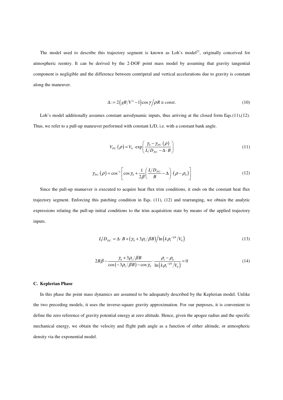The model used to describe this trajectory segment is known as Loh's model<sup>21</sup>, originally conceived for atmospheric reentry. It can be derived by the 2-DOF point mass model by assuming that gravity tangential component is negligible and the difference between centripetal and vertical accelerations due to gravity is constant along the maneuver.

$$
\Delta := 2\left(gR/V^2 - 1\right)\cos\gamma/\rho R \equiv const.
$$
\n(10)

Loh's model additionally assumes constant aerodynamic inputs, thus arriving at the closed form Eqs.(11),(12). Thus, we refer to a pull-up maneuver performed with constant L/D, i.e. with a constant bank angle.

$$
V_{PU}(\rho) = V_0 \cdot \exp\left(\frac{\gamma_0 - \gamma_{PU}(\rho)}{L/D_{PU} - \Delta \cdot B}\right)
$$
 (11)

$$
\gamma_{PU}(\rho) = \cos^{-1}\left[\cos\gamma_0 + \frac{1}{2\beta}\left(\frac{L/D_{PU}}{B} - \Delta\right)\left(\rho - \rho_0\right)\right]
$$
\n(12)

Since the pull-up manuever is executed to acquire heat flux trim conditions, it ends on the constant heat flux trajectory segment. Enforcing this patching condition in Eqs. (11), (12) and rearranging, we obtain the analytic expressions relating the pull-up initial conditions to the trim acquisition state by means of the applied trajectory inputs.

$$
L/D_{PU} = \Delta \cdot B + (\gamma_0 + 3\rho_1/\beta B) / \ln \left( k \rho_1^{-1/6} / V_0 \right)
$$
 (13)

$$
2B\beta - \frac{\gamma_0 + 3\rho_1/\beta B}{\cos(-3\rho_1/\beta B) - \cos\gamma_0} \cdot \frac{\rho_1 - \rho_0}{\ln(k\rho_1^{-1/6}/V_0)} = 0
$$
 (14)

# **C. Keplerian Phase**

In this phase the point mass dynamics are assumed to be adequately described by the Keplerian model. Unlike the two preceding models, it uses the inverse-square gravity approximation. For our purposes, it is convenient to define the zero reference of gravity potential energy at zero altitude. Hence, given the apogee radius and the specific mechanical energy, we obtain the velocity and flight path angle as a function of either altitude, or atmospheric density via the exponential model.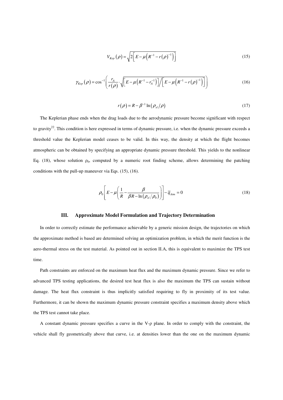$$
V_{Kep}(\rho) = \sqrt{2\left[E - \mu\left(R^{-1} - r(\rho)^{-1}\right)\right]}
$$
 (15)

$$
\gamma_{Kep}(\rho) = \cos^{-1}\left(\frac{r_A}{r(\rho)} \cdot \sqrt{\left[E - \mu\left(R^{-1} - r_A^{-1}\right)\right] / \left[E - \mu\left(R^{-1} - r\left(\rho\right)^{-1}\right)\right]}\right) \tag{16}
$$

$$
r(\rho) = R - \beta^{-1} \ln(\rho_{sl}/\rho) \tag{17}
$$

The Keplerian phase ends when the drag loads due to the aerodynamic pressure become significant with respect to gravity<sup>22</sup>. This condition is here expressed in terms of dynamic pressure, i.e. when the dynamic pressure exceeds a threshold value the Keplerian model ceases to be valid. In this way, the density at which the flight becomes atmospheric can be obtained by specifying an appropriate dynamic pressure threshold. This yields to the nonlinear Eq. (18), whose solution  $\rho_0$ , computed by a numeric root finding scheme, allows determining the patching conditions with the pull-up maneuver via Eqs. (15), (16).

$$
\rho_0 \left[ E - \mu \left( \frac{1}{R} - \frac{\beta}{\beta R - \ln \left( \rho_{sl} / \rho_0 \right)} \right) \right] - \overline{q}_{A_{tm}} = 0 \tag{18}
$$

# **III. Approximate Model Formulation and Trajectory Determination**

In order to correctly estimate the performance achievable by a generic mission design, the trajectories on which the approximate method is based are determined solving an optimization problem, in which the merit function is the aero-thermal stress on the test material. As pointed out in section II.A, this is equivalent to maximize the TPS test time.

Path constraints are enforced on the maximum heat flux and the maximum dynamic pressure. Since we refer to advanced TPS testing applications, the desired test heat flux is also the maximum the TPS can sustain without damage. The heat flux constraint is thus implicitly satisfied requiring to fly in proximity of its test value. Furthermore, it can be shown the maximum dynamic pressure constraint specifies a maximum density above which the TPS test cannot take place.

A constant dynamic pressure specifies a curve in the V-ρ plane. In order to comply with the constraint, the vehicle shall fly geometrically above that curve, i.e. at densities lower than the one on the maximum dynamic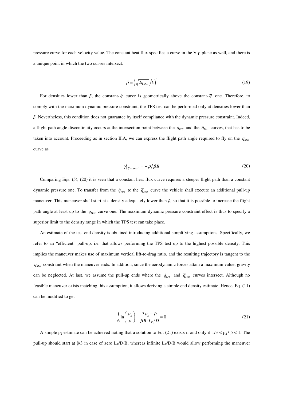pressure curve for each velocity value. The constant heat flux specifies a curve in the V-ρ plane as well, and there is a unique point in which the two curves intersect.

$$
\tilde{\rho} = \left(\sqrt{2\overline{q}_{\text{max}}}/k\right)^3\tag{19}
$$

For densities lower than  $\tilde{\rho}$ , the constant- *q* curve is geometrically above the constant-  $\overline{q}$  one. Therefore, to comply with the maximum dynamic pressure constraint, the TPS test can be performed only at densities lower than  $\tilde{\rho}$ . Nevertheless, this condition does not guarantee by itself compliance with the dynamic pressure constraint. Indeed, a flight path angle discontinuity occurs at the intersection point between the  $\dot{q}_{TPS}$  and the  $\overline{q}_{Max}$  curves, that has to be taken into account. Proceeding as in section II.A, we can express the flight path angle required to fly on the  $\bar{q}_{\text{Max}}$ curve as

$$
\gamma|_{\bar{q} = const.} = -\rho/\beta B \tag{20}
$$

Comparing Eqs. (5), (20) it is seen that a constant heat flux curve requires a steeper flight path than a constant dynamic pressure one. To transfer from the  $\dot{q}_{TPS}$  to the  $\bar{q}_{Max}$  curve the vehicle shall execute an additional pull-up maneuver. This maneuver shall start at a density adequately lower than  $\tilde{\rho}$ , so that it is possible to increase the flight path angle at least up to the  $\bar{q}_{\text{Max}}$  curve one. The maximum dynamic pressure constraint effect is thus to specify a superior limit to the density range in which the TPS test can take place.

An estimate of the test end density is obtained introducing additional simplifying assumptions. Specifically, we refer to an "efficient" pull-up, i.e. that allows performing the TPS test up to the highest possible density. This implies the maneuver makes use of maximum vertical lift-to-drag ratio, and the resulting trajectory is tangent to the  $\bar{q}_{\text{Max}}$  constraint when the maneuver ends. In addition, since the aerodynamic forces attain a maximum value, gravity can be neglected. At last, we assume the pull-up ends where the  $\dot{q}_{TPS}$  and  $\overline{q}_{Max}$  curves intersect. Although no feasible maneuver exists matching this assumption, it allows deriving a simple end density estimate. Hence, Eq. (11) can be modified to get

$$
\frac{1}{6}\ln\left(\frac{\rho_2}{\tilde{\rho}}\right) + \frac{3\rho_2 - \tilde{\rho}}{\beta B \cdot L_r/D} = 0\tag{21}
$$

A simple  $\rho_2$  estimate can be achieved noting that a solution to Eq. (21) exists if and only if  $1/3 < \rho_2 / \tilde{p} < 1$ . The pull-up should start at  $\tilde{p}/3$  in case of zero L<sub>T</sub>/D·B, whereas infinite L<sub>T</sub>/D·B would allow performing the maneuver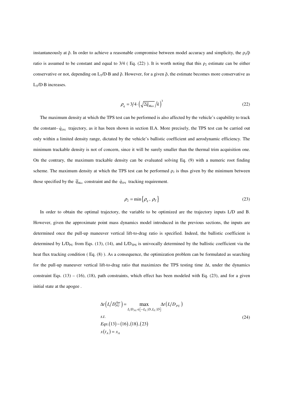instantaneously at  $\tilde{\rho}$ . In order to achieve a reasonable compromise between model accuracy and simplicity, the  $\rho_2/\tilde{\rho}$ ratio is assumed to be constant and equal to  $3/4$  (Eq. (22)). It is worth noting that this  $\rho_2$  estimate can be either conservative or not, depending on  $L_T/D \cdot B$  and  $\tilde{\rho}$ . However, for a given  $\tilde{\rho}$ , the estimate becomes more conservative as  $L_T/D \cdot B$  increases.

$$
\rho_q = 3/4 \cdot \left(\sqrt{2\overline{q}_{Max}}/k\right)^3 \tag{22}
$$

The maximum density at which the TPS test can be performed is also affected by the vehicle's capability to track the constant– $\dot{q}_{TPS}$  trajectory, as it has been shown in section II.A. More precisely, the TPS test can be carried out only within a limited density range, dictated by the vehicle's ballistic coefficient and aerodynamic efficiency. The minimum trackable density is not of concern, since it will be surely smaller than the thermal trim acquisition one. On the contrary, the maximum trackable density can be evaluated solving Eq. (9) with a numeric root finding scheme. The maximum density at which the TPS test can be performed  $\rho_2$  is thus given by the minimum between those specified by the  $\bar{q}_{\text{Max}}$  constraint and the  $\dot{q}_{\text{TPS}}$  tracking requirement.

$$
\rho_2 = \min\{\rho_q, \, \rho_T\} \tag{23}
$$

In order to obtain the optimal trajectory, the variable to be optimized are the trajectory inputs L/D and B. However, given the approximate point mass dynamics model introduced in the previous sections, the inputs are determined once the pull-up maneuver vertical lift-to-drag ratio is specified. Indeed, the ballistic coefficient is determined by  $L/D_{PU}$  from Eqs. (13), (14), and  $L/D_{TPS}$  is univocally determined by the ballistic coefficient via the heat flux tracking condition (Eq. (8)). As a consequence, the optimization problem can be formulated as searching for the pull-up maneuver vertical lift-to-drag ratio that maximizes the TPS testing time ∆t, under the dynamics constraint Eqs.  $(13) - (16)$ ,  $(18)$ , path constraints, which effect has been modeled with Eq.  $(23)$ , and for a given initial state at the apogee .

$$
\Delta t \left( L/D_{PU}^{Opt} \right) = \max_{L/D_{PU} \in [-L_T/D, L_T/D]} \Delta t \left( L/D_{PU} \right)
$$
  
s.t.  
Eqs.(13) – (16), (18), (23)  

$$
x(t_A) = x_A
$$
 (24)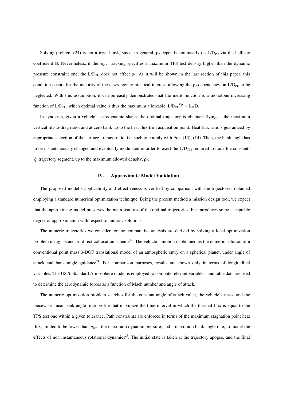Solving problem (24) is not a trivial task, since, in general,  $\rho_2$  depends nonlinearly on  $L/D_{\text{PU}}$  via the ballistic coefficient B. Nevertheless, if the  $\dot{q}_{TPS}$  tracking specifies a maximum TPS test density higher than the dynamic pressure constraint one, the L/D<sub>PU</sub> does not affect  $\rho_2$ . As it will be shown in the last section of this paper, this condition occurs for the majority of the cases having practical interest, allowing the  $\rho_2$  dependency on L/D<sub>PU</sub> to be neglected. With this assumption, it can be easily demonstrated that the merit function is a monotone increasing function of  $L/D_{PU}$ , which optimal value is thus the maximum allowable:  $L/D_{PU}^{Opt} = L_T/D$ .

In synthesis, given a vehicle's aerodynamic shape, the optimal trajectory is obtained flying at the maximum vertical lift-to-drag ratio, and at zero bank up to the heat flux trim acquisition point. Heat flux trim is guaranteed by appropriate selection of the surface to mass ratio, i.e. such to comply with Eqs. (13), (14). Then, the bank angle has to be instantaneously changed and eventually modulated in order to exert the  $L/D<sub>TPS</sub>$  required to track the constant- $\dot{q}$  trajectory segment, up to the maximum allowed density,  $\rho_2$ .

### **IV. Approximate Model Validation**

The proposed model's applicability and effectiveness is verified by comparison with the trajectories obtained employing a standard numerical optimization technique. Being the present method a mission design tool, we expect that the approximate model preserves the main features of the optimal trajectories, but introduces some acceptable degree of approximation with respect to numeric solutions.

The numeric trajectories we consider for the comparative analysis are derived by solving a local optimization problem using a standard direct collocation scheme<sup>23</sup>. The vehicle's motion is obtained as the numeric solution of a conventional point mass 3-DOF translational model of an atmospheric entry on a spherical planet, under angle of attack and bank angle guidance<sup>24</sup>. For comparison purposes, results are shown only in terms of longitudinal variables. The US76 Standard Atmosphere model is employed to compute relevant variables, and table data are used to determine the aerodynamic forces as a function of Mach number and angle of attack.

The numeric optimization problem searches for the constant angle of attack value, the vehicle's mass, and the piecewise linear bank angle time profile that maximize the time interval in which the thermal flux is equal to the TPS test one within a given tolerance. Path constraints are enforced in terms of the maximum stagnation point heat flux, limited to be lower than  $\dot{q}_{TPS}$ , the maximum dynamic pressure, and a maximum bank angle rate, to model the effects of non instantaneous rotational dynamics<sup>25</sup>. The initial state is taken at the trajectory apogee, and the final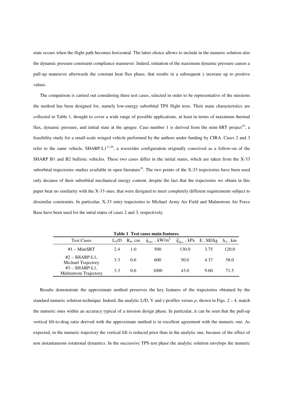state occurs when the flight path becomes horizontal. The latter choice allows to include in the numeric solution also the dynamic pressure constraint compliance maneuver. Indeed, imitation of the maximum dynamic pressure causes a pull-up maneuver afterwards the constant heat flux phase, that results in a subsequent  $\gamma$  increase up to positive values.

The comparison is carried out considering three test cases, selected in order to be representative of the missions the method has been designed for, namely low-energy suborbital TPS flight tests. Their main characteristics are collected in Table 1, thought to cover a wide range of possible applications, at least in terms of maximum thermal flux, dynamic pressure, and initial state at the apogee. Case number 1 is derived from the mini-SRT project<sup>10</sup>, a feasibility study for a small-scale winged vehicle performed by the authors under funding by CIRA. Cases 2 and 3 refer to the same vehicle, SHARP-L1<sup>11,26</sup>, a waverider configuration originally conceived as a follow-on of the SHARP B1 and B2 ballistic vehicles. These two cases differ in the initial states, which are taken from the X-33 suborbital trajectories studies available in open literature<sup>16</sup>. The two points of the X-33 trajectories have been used only decause of their suborbital mechanical energy content, despite the fact that the trajectories we obtain in this paper bear no similarity with the X-33 ones, that were designed to meet completely different requirements subject to dissimilar constraints. In particular, X-33 entry trajectories to Michael Army Air Field and Malmstrom Air Force Base have been used for the intial states of cases 2 and 3, respectively.

| Table 1 Test cases main reatures                |                |            |                                                            |       |                                                                |       |  |
|-------------------------------------------------|----------------|------------|------------------------------------------------------------|-------|----------------------------------------------------------------|-------|--|
| <b>Test Cases</b>                               | $L_{\rm T}$ /D | $R_N$ , cm | $\dot{q}_{\rm \scriptscriptstyle TPS}$ , kW/m <sup>2</sup> |       | $\overline{q}_{\text{Max}}$ , kPa E, MJ/kg h <sub>A</sub> , km |       |  |
| $#1 - MiniSRT$                                  | 2.4            | 1.0        | 500                                                        | 130.0 | 3.75                                                           | 120.0 |  |
| $#2$ – SHARP-L1,<br>Michael Trajectory          | 3.3            | 0.6        | 600                                                        | 50.0  | 4.37                                                           | 58.0  |  |
| $#3$ – SHARP-L1,<br><b>Malmstrom Trajectory</b> | 3.3            | 0.6        | 1000                                                       | 43.0  | 9.60                                                           | 71.5  |  |

**Table 1 Test cases main features** 

Results demonstrate the approximate method preserves the key features of the trajectories obtained by the standard numeric solution technique. Indeed, the analytic L/D, V and  $\gamma$  profiles versus  $\rho$ , shown in Figs. 2 – 4, match the numeric ones within an accuracy typical of a mission design phase. In particular, it can be seen that the pull-up vertical lift-to-drag ratio derived with the approximate method is in excellent agreement with the numeric one. As expected, in the numeric trajectory the vertical lift is reduced prior than in the analytic one, because of the effect of non instantaneous rotational dynamics. In the successive TPS test phase the analytic solution envelops the numeric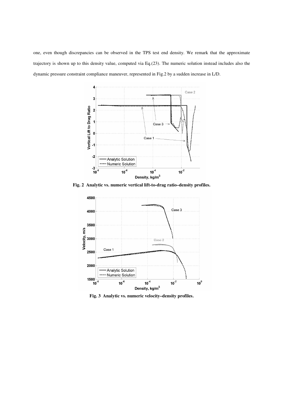one, even though discrepancies can be observed in the TPS test end density. We remark that the approximate trajectory is shown up to this density value, computed via Eq.(23). The numeric solution instead includes also the dynamic pressure constraint compliance maneuver, represented in Fig.2 by a sudden increase in L/D.



**Fig. 2 Analytic vs. numeric vertical lift-to-drag ratio–density profiles.** 



**Fig. 3 Analytic vs. numeric velocity–density profiles.**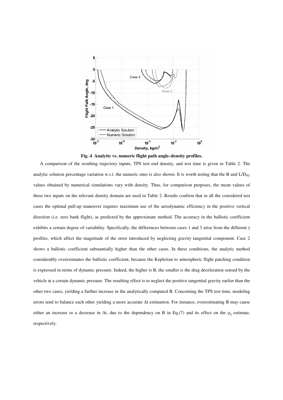

**Fig. 4 Analytic vs. numeric flight path angle–density profiles.** 

A comparison of the resulting trajectory inputs, TPS test end density, and test time is given in Table 2. The analytic solution percentage variation w.r.t. the numeric ones is also shown. It is worth noting that the B and  $L/D_{\text{PU}}$ values obtained by numerical simulations vary with density. Thus, for comparison purposes, the mean values of these two inputs on the relevant density domain are used in Table 2. Results confirm that in all the considered test cases the optimal pull-up maneuver requires maximum use of the aerodynamic efficiency in the positive vertical direction (i.e. zero bank flight), as predicted by the approximate method. The accuracy in the ballistic coefficient exhibits a certain degree of variability. Specifically, the differences between cases 1 and 3 arise from the different  $\gamma$ profiles, which affect the magnitude of the error introduced by neglecting gravity tangential component. Case 2 shows a ballistic coefficient substantially higher than the other cases. In these conditions, the analytic method considerably overestimates the ballistic coefficient, because the Keplerian to atmospheric flight patching condition is expressed in terms of dynamic pressure. Indeed, the higher is B, the smaller is the drag deceleration sensed by the vehicle at a certain dynamic pressure. The resulting effect is to neglect the positive tangential gravity earlier than the other two cases, yielding a further increase in the analytically computed B. Concerning the TPS test time, modeling errors tend to balance each other yielding a more accurate ∆t estimation. For instance, overestimating B may cause either an increase or a decrease in  $\Delta t$ , due to the dependency on B in Eq.(7) and its effect on the  $\rho_q$  estimate, respectively.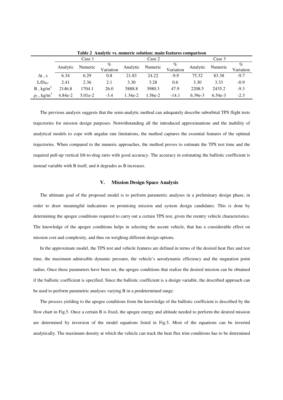|                              | Case 1   |           |                | Case 2   |         |                   | Case 3    |         |                |
|------------------------------|----------|-----------|----------------|----------|---------|-------------------|-----------|---------|----------------|
|                              | Analytic | Numeric   | %<br>Variation | Analytic | Numeric | $\%$<br>Variation | Analytic  | Numeric | %<br>Variation |
| $\Delta t$ , s               | 6.34     | 6.29      | 0.8            | 21.83    | 24.22   | $-9.9$            | 75.32     | 83.38   | $-9.7$         |
| $L/D_{\rm PI}$               | 2.41     | 2.36      | 2.1            | 3.30     | 3.28    | 0.6               | 3.30      | 3.33    | $-0.9$         |
| $B$ , kg/m <sup>2</sup>      | 2146.8   | 1704.1    | 26.0           | 5888.8   | 3980.3  | 47.9              | 2208.5    | 2435.2  | $-9.3$         |
| $\rho_2$ , kg/m <sup>3</sup> | 4.84e-2  | $5.01e-2$ | $-3.4$         | 1.34e-2  | 1.56e-2 | $-14.1$           | $6.39e-3$ | 6.54e-3 | $-2.3$         |

**Table 2 Analytic vs. numeric solution: main features comparison** 

The previous analysis suggests that the semi-analytic method can adequately describe suborbital TPS flight tests trajectories for mission design purposes. Notwithstanding all the introduced approximations and the inability of analytical models to cope with angular rate limitations, the method captures the essential features of the optimal trajectories. When compared to the numeric approaches, the method proves to estimate the TPS test time and the required pull-up vertical lift-to-drag ratio with good accuracy. The accuracy in estimating the ballistic coefficient is instead variable with B itself, and it degrades as B increases.

#### **V. Mission Design Space Analysis**

The ultimate goal of the proposed model is to perform parametric analyses in a preliminary design phase, in order to draw meaningful indications on promising mission and system design candidates. This is done by determining the apogee conditions required to carry out a certain TPS test, given the reentry vehicle characteristics. The knowledge of the apogee conditions helps in selecting the ascent vehicle, that has a considerable effect on mission cost and complexity, and thus on weighing different design options.

In the approximate model, the TPS test and vehicle features are defined in terms of the desired heat flux and test time, the maximum admissible dynamic pressure, the vehicle's aerodynamic efficiency and the stagnation point radius. Once these parameters have been set, the apogee conditions that realize the desired mission can be obtained if the ballistic coefficient is specified. Since the ballistic coefficient is a design variable, the described approach can be used to perform parametric analyses varying B in a predetermined range.

The process yielding to the apogee conditions from the knowledge of the ballistic coefficient is described by the flow chart in Fig.5. Once a certain B is fixed, the apogee energy and altitude needed to perform the desired mission are determined by inversion of the model equations listed in Fig.5. Most of the equations can be inverted analytically. The maximum density at which the vehicle can track the heat flux trim conditions has to be determined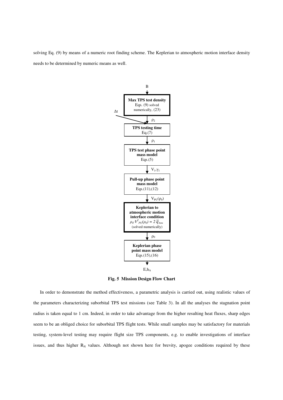solving Eq. (9) by means of a numeric root finding scheme. The Keplerian to atmospheric motion interface density needs to be determined by numeric means as well.



**Fig. 5 Mission Design Flow Chart** 

In order to demonstrate the method effectiveness, a parametric analysis is carried out, using realistic values of the parameters characterizing suborbital TPS test missions (see Table 3). In all the analyses the stagnation point radius is taken equal to 1 cm. Indeed, in order to take advantage from the higher resulting heat fluxes, sharp edges seem to be an obliged choice for suborbital TPS flight tests. While small samples may be satisfactory for materials testing, system-level testing may require flight size TPS components, e.g. to enable investigations of interface issues, and thus higher  $R_N$  values. Although not shown here for brevity, apogee conditions required by these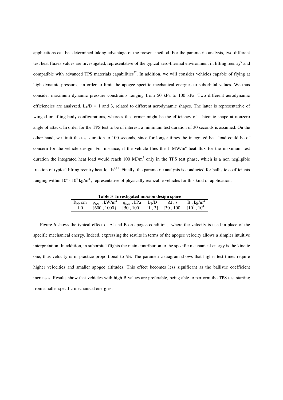applications can be determined taking advantage of the present method. For the parametric analysis, two different test heat fluxes values are investigated, representative of the typical aero-thermal environment in lifting reentry<sup>9</sup> and compatible with advanced TPS materials capabilities<sup>27</sup>. In addition, we will consider vehicles capable of flying at high dynamic pressures, in order to limit the apogee specific mechanical energies to suborbital values. We thus consider maximum dynamic pressure constraints ranging from 50 kPa to 100 kPa. Two different aerodynamic efficiencies are analyzed,  $L_T/D = 1$  and 3, related to different aerodynamic shapes. The latter is representative of winged or lifting body configurations, whereas the former might be the efficiency of a biconic shape at nonzero angle of attack. In order for the TPS test to be of interest, a minimum test duration of 30 seconds is assumed. On the other hand, we limit the test duration to 100 seconds, since for longer times the integrated heat load could be of concern for the vehicle design. For instance, if the vehicle flies the  $1 \text{ MW/m}^2$  heat flux for the maximum test duration the integrated heat load would reach  $100 \text{ MJ/m}^2$  only in the TPS test phase, which is a non negligible fraction of typical lifting reentry heat loads<sup>9,11</sup>. Finally, the parametric analysis is conducted for ballistic coefficients ranging within  $10^3$  -  $10^4$  kg/m<sup>2</sup>, representative of physically realizable vehicles for this kind of application.

**Table 3 Investigated mission design space** 

| $R_N$ , cm | $\dot{q}_{\rm \scriptscriptstyle TPS}$ , kW/m <sup>2</sup> $\bar{q}_{\rm \scriptscriptstyle Max}$ , kPa $\rm L_T/D$ |  | $\Delta t$ , s | $B$ , kg/m <sup>2</sup> |
|------------|---------------------------------------------------------------------------------------------------------------------|--|----------------|-------------------------|
|            | $\{600, 1000\}$ [50, 100] $\{1, 3\}$ [30, 100] $\overline{[10^3, 10^4]}$                                            |  |                |                         |

Figure 6 shows the typical effect of ∆t and B on apogee conditions, where the velocity is used in place of the specific mechanical energy. Indeed, expressing the results in terms of the apogee velocity allows a simpler intuitive interpretation. In addition, in suborbital flights the main contribution to the specific mechanical energy is the kinetic one, thus velocity is in practice proportional to √E. The parametric diagram shows that higher test times require higher velocities and smaller apogee altitudes. This effect becomes less significant as the ballistic coefficient increases. Results show that vehicles with high B values are preferable, being able to perform the TPS test starting from smaller specific mechanical energies.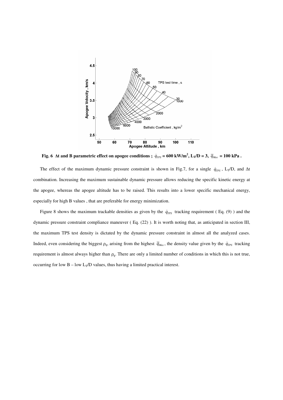

**Fig. 6**  $\Delta t$  and B parametric effect on apogee conditions ;  $\dot{q}_{TPS} = 600 \text{ kW/m}^2$ ,  $L_T/D = 3$ ,  $\bar{q}_{Max} = 100 \text{ kPa}$ .

The effect of the maximum dynamic pressure constraint is shown in Fig.7, for a single  $\dot{q}_{TPS}$ , L<sub>T</sub>/D, and ∆t combination. Increasing the maximum sustainable dynamic pressure allows reducing the specific kinetic energy at the apogee, whereas the apogee altitude has to be raised. This results into a lower specific mechanical energy, especially for high B values , that are preferable for energy minimization.

Figure 8 shows the maximum trackable densities as given by the  $\dot{q}_{TPS}$  tracking requirement (Eq. (9)) and the dynamic pressure constraint compliance maneuver ( Eq. (22) ). It is worth noting that, as anticipated in section III, the maximum TPS test density is dictated by the dynamic pressure constraint in almost all the analyzed cases. Indeed, even considering the biggest  $\rho_q$ , arising from the highest  $\bar{q}_{Max}$ , the density value given by the  $\dot{q}_{TPS}$  tracking requirement is almost always higher than  $\rho_q$ . There are only a limited number of conditions in which this is not true, occurring for low  $B - low L<sub>T</sub>/D$  values, thus having a limited practical interest.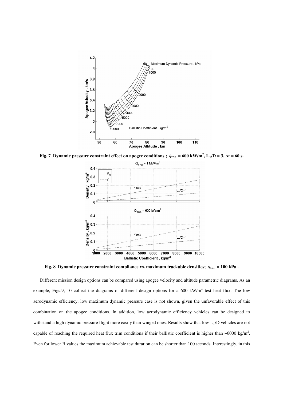

**Fig. 7** Dynamic pressure constraint effect on apogee conditions ;  $\dot{q}_{TPS} = 600 \text{ kW/m}^2$ ,  $L_T/D = 3$ ,  $\Delta t = 60 \text{ s}$ .



**Fig. 8 Dynamic pressure constraint compliance vs. maximum trackable densities;**  $\bar{q}_{\text{Max}} = 100 \text{ kPa}$ .

Different mission design options can be compared using apogee velocity and altitude parametric diagrams. As an example, Figs.9, 10 collect the diagrams of different design options for a 600 kW/m<sup>2</sup> test heat flux. The low aerodynamic efficiency, low maximum dynamic pressure case is not shown, given the unfavorable effect of this combination on the apogee conditions. In addition, low aerodynamic efficiency vehicles can be designed to withstand a high dynamic pressure flight more easily than winged ones. Results show that low  $L_T/D$  vehicles are not capable of reaching the required heat flux trim conditions if their ballistic coefficient is higher than  $\sim 6000 \text{ kg/m}^2$ . Even for lower B values the maximum achievable test duration can be shorter than 100 seconds. Interestingly, in this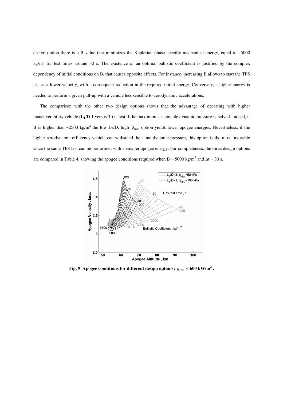design option there is a B value that minimizes the Keplerian phase specific mechanical energy, equal to ~5000  $kg/m<sup>2</sup>$  for test times around 30 s. The existence of an optimal ballistic coefficient is justified by the complex dependency of initial conditions on B, that causes opposite effects. For instance, increasing B allows to start the TPS test at a lower velocity, with a consequent reduction in the required initial energy. Conversely, a higher energy is needed to perform a given pull-up with a vehicle less sensible to aerodynamic accelerations.

The comparison with the other two design options shows that the advantage of operating with higher maneuverability vehicle ( $L_T/D$  1 versus 3) is lost if the maximum sustainable dynamic pressure is halved. Indeed, if B is higher than ~2500 kg/m<sup>2</sup> the low L<sub>T</sub>/D, high  $\bar{q}_{Max}$  option yields lower apogee energies. Nevertheless, if the higher aerodynamic efficiency vehicle can withstand the same dynamic pressure, this option is the most favorable since the same TPS test can be performed with a smaller apogee energy. For completeness, the three design options are compared in Table 4, showing the apogee conditions required when B = 5000 kg/m<sup>2</sup> and  $\Delta t = 30$  s.



**Fig. 9** Apogee conditions for different design options;  $\dot{q}_{TPS} = 600 \text{ kW/m}^2$ .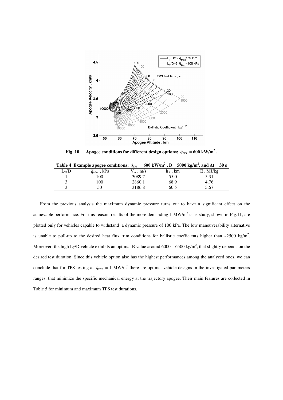

**Fig. 10** Apogee conditions for different design options;  $\dot{q}_{TPS} = 600 \text{ kW/m}^2$ .

|         | Table 4 Example apogee conditions; $\dot{q}_{TPS} = 600 \text{ kW/m}^2$ , B = 5000 kg/m <sup>2</sup> , and $\Delta t = 30 \text{ s}$ |                 |              |             |
|---------|--------------------------------------------------------------------------------------------------------------------------------------|-----------------|--------------|-------------|
| $L_T/D$ | $\overline{q}_{\scriptscriptstyle{Max}}$ , kPa                                                                                       | $V_A \cdot m/s$ | $h_{A}$ , km | $E$ , MJ/kg |
|         | 00                                                                                                                                   | 3089.7          | 55.0         | 5.31        |
|         | .00                                                                                                                                  | 2860.1          | 68.9         | 4.76        |
|         | 50                                                                                                                                   | 3186.8          | 60.5         | 5.67        |

From the previous analysis the maximum dynamic pressure turns out to have a significant effect on the achievable performance. For this reason, results of the more demanding  $1 \text{ MW/m}^2$  case study, shown in Fig.11, are plotted only for vehicles capable to withstand a dynamic pressure of 100 kPa. The low maneuverability alternative is unable to pull-up to the desired heat flux trim conditions for ballistic coefficients higher than  $\sim$ 2500 kg/m<sup>2</sup>. Moreover, the high  $L_T/D$  vehicle exhibits an optimal B value around  $6000 - 6500$  kg/m<sup>2</sup>, that slightly depends on the desired test duration. Since this vehicle option also has the highest performances among the analyzed ones, we can conclude that for TPS testing at  $\dot{q}_{TPS} = 1 \text{ MW/m}^2$  there are optimal vehicle designs in the investigated parameters ranges, that minimize the specific mechanical energy at the trajectory apogee. Their main features are collected in Table 5 for minimum and maximum TPS test durations.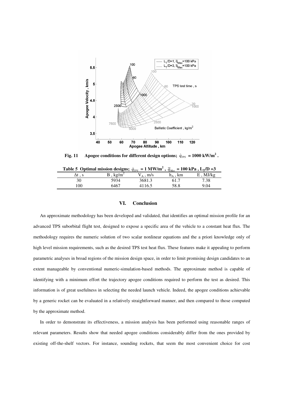

**Fig. 11** Apogee conditions for different design options;  $\dot{q}_{TPS} = 1000 \text{ kW/m}^2$ .

| Table 5 Optimal mission designs; $\dot{q}_{TPS} = 1 \text{ MW/m}^2$ , $\overline{q}_{Max} = 100 \text{ kPa}$ , $L_T/D = 3$ |             |             |                  |       |  |  |  |  |
|----------------------------------------------------------------------------------------------------------------------------|-------------|-------------|------------------|-------|--|--|--|--|
|                                                                                                                            | $k\Omega/m$ | $V_A$ . m/s | $h_{\rm A}$ , km | MJ/kg |  |  |  |  |
|                                                                                                                            | 5934        | 3681.3      | 61.7             | 7.38  |  |  |  |  |
| 100                                                                                                                        | 6467        | 4116.5      | 58.8             | 9.04  |  |  |  |  |

#### **VI. Conclusion**

An approximate methodology has been developed and validated, that identifies an optimal mission profile for an advanced TPS suborbital flight test, designed to expose a specific area of the vehicle to a constant heat flux. The methodology requires the numeric solution of two scalar nonlinear equations and the a priori knowledge only of high level mission requirements, such as the desired TPS test heat flux. These features make it appealing to perform parametric analyses in broad regions of the mission design space, in order to limit promising design candidates to an extent manageable by conventional numeric-simulation-based methods. The approximate method is capable of identifying with a minimum effort the trajectory apogee conditions required to perform the test as desired. This information is of great usefulness in selecting the needed launch vehicle. Indeed, the apogee conditions achievable by a generic rocket can be evaluated in a relatively straightforward manner, and then compared to those computed by the approximate method.

In order to demonstrate its effectiveness, a mission analysis has been performed using reasonable ranges of relevant parameters. Results show that needed apogee conditions considerably differ from the ones provided by existing off-the-shelf vectors. For instance, sounding rockets, that seem the most convenient choice for cost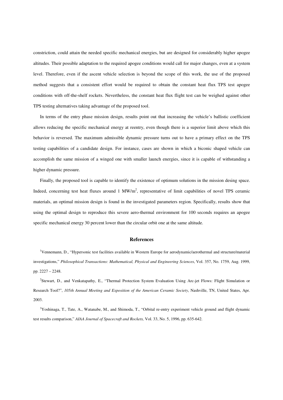constriction, could attain the needed specific mechanical energies, but are designed for considerably higher apogee altitudes. Their possible adaptation to the required apogee conditions would call for major changes, even at a system level. Therefore, even if the ascent vehicle selection is beyond the scope of this work, the use of the proposed method suggests that a consistent effort would be required to obtain the constant heat flux TPS test apogee conditions with off-the-shelf rockets. Nevertheless, the constant heat flux flight test can be weighed against other TPS testing alternatives taking advantage of the proposed tool.

In terms of the entry phase mission design, results point out that increasing the vehicle's ballistic coefficient allows reducing the specific mechanical energy at reentry, even though there is a superior limit above which this behavior is reversed. The maximum admissible dynamic pressure turns out to have a primary effect on the TPS testing capabilities of a candidate design. For instance, cases are shown in which a biconic shaped vehicle can accomplish the same mission of a winged one with smaller launch energies, since it is capable of withstanding a higher dynamic pressure.

Finally, the proposed tool is capable to identify the existence of optimum solutions in the mission desing space. Indeed, concerning test heat fluxes around  $1 \text{ MW/m}^2$ , representative of limit capabilities of novel TPS ceramic materials, an optimal mission design is found in the investigated parameters region. Specifically, results show that using the optimal design to reproduce this severe aero-thermal environment for 100 seconds requires an apogee specific mechanical energy 30 percent lower than the circular orbit one at the same altitude.

#### **References**

<sup>1</sup>Vennemann, D., "Hypersonic test facilities available in Western Europe for aerodynamic/aerothermal and structure/material investigations," *Philosophical Transactions: Mathematical, Physical and Engineering Sciences*, Vol. 357, No. 1759, Aug. 1999, pp. 2227 – 2248.

2 Stewart, D., and Venkatapathy, E., "Thermal Protection System Evaluation Using Arc-jet Flows: Flight Simulation or Research Tool?", *105th Annual Meeting and Exposition of the American Ceramic Society*, Nashville, TN, United States, Apr. 2003.

 $3Y$ oshinaga, T., Tate, A., Watanabe, M., and Shimoda, T., "Orbital re-entry experiment vehicle ground and flight dynamic test results comparison," *AIAA Journal of Spacecraft and Rockets,* Vol. 33, No. 5, 1996, pp. 635-642.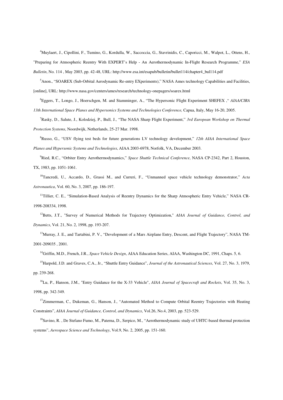<sup>4</sup>Muylaert, J., Cipollini, F., Tumino, G., Kordulla, W., Saccoccia, G., Stavrinidis, C., Caporicci, M., Walpot, L., Ottens, H., "Preparing for Atmospheric Reentry With EXPERT's Help - An Aerothermodynamic In-Flight Research Programme," *ESA Bulletin*, No. 114 , May 2003, pp. 42-48, URL: http://www.esa.int/esapub/bulletin/bullet114/chapter4\_bul114.pdf

<sup>5</sup>Anon., "SOAREX (Sub-Orbital Aerodynamic Re-entry EXperiments)," NASA Ames technology Capabilities and Facilities, [online], URL: http://www.nasa.gov/centers/ames/research/technology-onepagers/soarex.html

<sup>6</sup>Eggers, T., Longo, J., Hoerschgen, M. and Stamminger, A., "The Hypersonic Flight Experiment SHEFEX ," *AIAA/CIRA 13th International Space Planes and Hypersonics Systems and Technologies Conference,* Capua, Italy, May 16-20, 2005.

<sup>7</sup>Rasky, D., Salute, J., Kolodziej, P., Bull, J., "The NASA Sharp Flight Experiment," *3rd European Workshop on Thermal Protection Systems*, Noordwijk, Netherlands, 25-27 Mar. 1998.

<sup>8</sup>Russo, G., "USV flying test beds for future generations LV technology development," *12th AIAA International Space Planes and Hypersonic Systems and Technologies*, AIAA 2003-6978, Norfolk, VA, December 2003.

<sup>9</sup>Ried, R.C., "Orbiter Entry Aerothermodynamics," *Space Shuttle Technical Conference*, NASA CP-2342, Part 2, Houston, TX, 1983, pp. 1051-1061.

<sup>10</sup>Tancredi, U., Accardo, D., Grassi M., and Curreri, F., "Unmanned space vehicle technology demonstrator," *Acta Astronautica*, Vol. 60, No. 3, 2007, pp. 186-197.

<sup>11</sup>Tillier, C. E., "Simulation-Based Analysis of Reentry Dynamics for the Sharp Atmospheric Entry Vehicle," NASA CR-1998-208334, 1998.

<sup>12</sup>Betts, J.T., "Survey of Numerical Methods for Trajectory Optimization," *AIAA Journal of Guidance, Control, and Dynamics*, Vol. 21, No. 2, 1998, pp. 193-207.

<sup>13</sup>Murray, J. E., and Tartabini, P. V., "Development of a Mars Airplane Entry, Descent, and Flight Trajectory", NASA TM-2001-209035 , 2001.

<sup>14</sup>Griffin, M.D., French, J.R., *Space Vehicle Design*, AIAA Education Series, AIAA, Washington DC, 1991, Chaps. 5, 6.

<sup>15</sup>Harpold, J.D. and Graves, C.A., Jr., "Shuttle Entry Guidance", *Journal of the Astronautical Sciences*, Vol. 27, No. 3, 1979, pp. 239-268.

<sup>16</sup>Lu, P., Hanson, J.M., "Entry Guidance for the X-33 Vehicle", *AIAA Journal of Spacecraft and Rockets*, Vol. 35, No. 3, 1998, pp. 342-349.

<sup>17</sup>Zimmerman, C., Dukeman, G., Hanson, J., "Automated Method to Compute Orbital Reentry Trajectories with Heating Constraints", *AIAA Journal of Guidance, Control, and Dynamics*, Vol.26, No.4, 2003, pp. 523-529.

<sup>18</sup>Savino, R., De Stefano Fumo, M., Paterna, D., Serpico, M., "Aerothermodynamic study of UHTC-based thermal protection systems", *Aerospace Science and Technology*, Vol.9, No. 2, 2005, pp. 151-160.